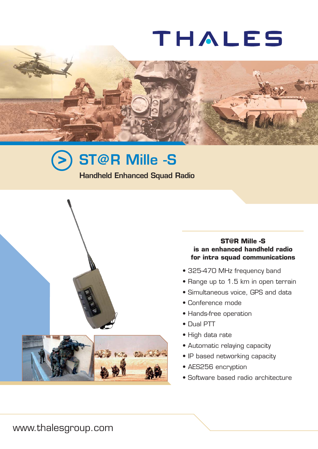# **THALES**







# **ST@R Mille -S is an enhanced handheld radio for intra squad communications**

- 325-470 MHz frequency band
- Range up to 1.5 km in open terrain
- Simultaneous voice, GPS and data
- Conference mode
- Hands-free operation
- Dual PTT
- High data rate
- Automatic relaying capacity
- IP based networking capacity
- AES256 encryption
- Software based radio architecture